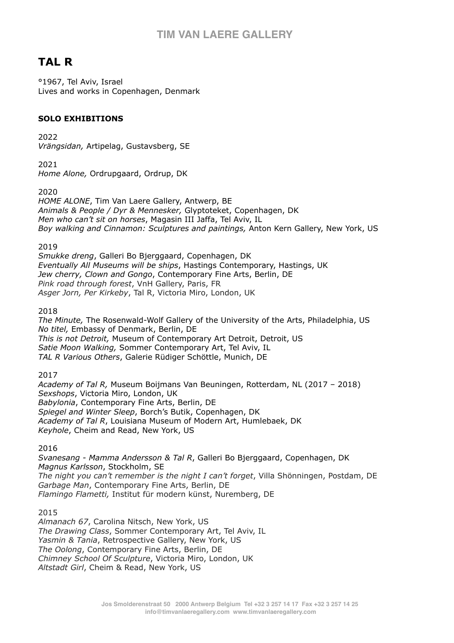# **TAL R**

°1967, Tel Aviv, Israel Lives and works in Copenhagen, Denmark

### **SOLO EXHIBITIONS**

2022 *Vrängsidan,* Artipelag, Gustavsberg, SE

2021 *Home Alone,* Ordrupgaard, Ordrup, DK

2020

*HOME ALONE*, Tim Van Laere Gallery, Antwerp, BE *Animals & People / Dyr & Mennesker,* Glyptoteket, Copenhagen, DK *Men who can't sit on horses*, Magasin III Jaffa, Tel Aviv, IL *Boy walking and Cinnamon: Sculptures and paintings,* Anton Kern Gallery, New York, US

2019

*Smukke dreng*, Galleri Bo Bjerggaard, Copenhagen, DK *Eventually All Museums will be ships*, Hastings Contemporary, Hastings, UK *Jew cherry, Clown and Gongo*, Contemporary Fine Arts, Berlin, DE *Pink road through forest*, VnH Gallery, Paris, FR *Asger Jorn, Per Kirkeby*, Tal R, Victoria Miro, London, UK

2018

*The Minute,* The Rosenwald-Wolf Gallery of the University of the Arts, Philadelphia, US *No titel,* Embassy of Denmark, Berlin, DE *This is not Detroit,* Museum of Contemporary Art Detroit, Detroit, US *Satie Moon Walking,* Sommer Contemporary Art, Tel Aviv, IL *TAL R Various Others*, Galerie Rüdiger Schöttle, Munich, DE

2017

*Academy of Tal R,* Museum Boijmans Van Beuningen, Rotterdam, NL (2017 – 2018) *Sexshops*, Victoria Miro, London, UK *Babylonia*, Contemporary Fine Arts, Berlin, DE *Spiegel and Winter Sleep*, Borch's Butik, Copenhagen, DK *Academy of Tal R*, Louisiana Museum of Modern Art, Humlebaek, DK *Keyhole*, Cheim and Read, New York, US

2016

*Svanesang - Mamma Andersson & Tal R*, Galleri Bo Bjerggaard, Copenhagen, DK *Magnus Karlsson*, Stockholm, SE *The night you can't remember is the night I can't forget*, Villa Shönningen, Postdam, DE *Garbage Man*, Contemporary Fine Arts, Berlin, DE *Flamingo Flametti,* Institut für modern künst, Nuremberg, DE

2015

*Almanach 67*, Carolina Nitsch, New York, US *The Drawing Class*, Sommer Contemporary Art, Tel Aviv, IL *Yasmin & Tania*, Retrospective Gallery, New York, US *The Oolong*, Contemporary Fine Arts, Berlin, DE *Chimney School Of Sculpture*, Victoria Miro, London, UK *Altstadt Girl*, Cheim & Read, New York, US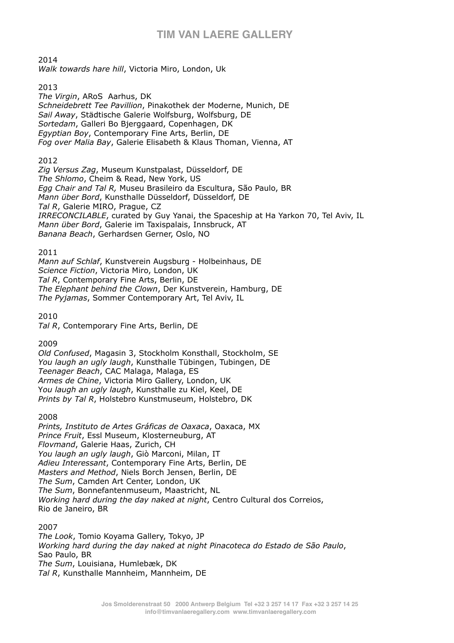2014

*Walk towards hare hill*, Victoria Miro, London, Uk

2013

*The Virgin*, ARoS Aarhus, DK *Schneidebrett Tee Pavillion*, Pinakothek der Moderne, Munich, DE *Sail Away*, Städtische Galerie Wolfsburg, Wolfsburg, DE *Sortedam*, Galleri Bo Bjerggaard, Copenhagen, DK *Egyptian Boy*, Contemporary Fine Arts, Berlin, DE *Fog over Malia Bay*, Galerie Elisabeth & Klaus Thoman, Vienna, AT

#### 2012

*Zig Versus Zag*, Museum Kunstpalast, Düsseldorf, DE *The Shlomo*, Cheim & Read, New York, US *Egg Chair and Tal R,* Museu Brasileiro da Escultura, São Paulo, BR *Mann über Bord*, Kunsthalle Düsseldorf, Düsseldorf, DE *Tal R*, Galerie MIRO, Prague, CZ *IRRECONCILABLE*, curated by Guy Yanai, the Spaceship at Ha Yarkon 70, Tel Aviv, IL *Mann über Bord*, Galerie im Taxispalais, Innsbruck, AT *Banana Beach*, Gerhardsen Gerner, Oslo, NO

#### 2011

*Mann auf Schlaf*, Kunstverein Augsburg - Holbeinhaus, DE *Science Fiction*, Victoria Miro, London, UK *Tal R*, Contemporary Fine Arts, Berlin, DE *The Elephant behind the Clown*, Der Kunstverein, Hamburg, DE *The Pyjamas*, Sommer Contemporary Art, Tel Aviv, IL

2010

*Tal R*, Contemporary Fine Arts, Berlin, DE

2009

*Old Confused*, Magasin 3, Stockholm Konsthall, Stockholm, SE *You laugh an ugly laugh*, Kunsthalle Tübingen, Tubingen, DE *Teenager Beach*, CAC Malaga, Malaga, ES *Armes de Chine*, Victoria Miro Gallery, London, UK Y*ou laugh an ugly laugh*, Kunsthalle zu Kiel, Keel, DE *Prints by Tal R*, Holstebro Kunstmuseum, Holstebro, DK

2008

*Prints, Instituto de Artes Gráficas de Oaxaca*, Oaxaca, MX *Prince Fruit*, Essl Museum, Klosterneuburg, AT *Flovmand*, Galerie Haas, Zurich, CH *You laugh an ugly laugh*, Giò Marconi, Milan, IT *Adieu Interessant*, Contemporary Fine Arts, Berlin, DE *Masters and Method*, Niels Borch Jensen, Berlin, DE *The Sum*, Camden Art Center, London, UK *The Sum*, Bonnefantenmuseum, Maastricht, NL *Working hard during the day naked at night*, Centro Cultural dos Correios, Rio de Janeiro, BR

#### 2007

*The Look*, Tomio Koyama Gallery, Tokyo, JP *Working hard during the day naked at night Pinacoteca do Estado de São Paulo*, Sao Paulo, BR *The Sum*, Louisiana, Humlebæk, DK *Tal R*, Kunsthalle Mannheim, Mannheim, DE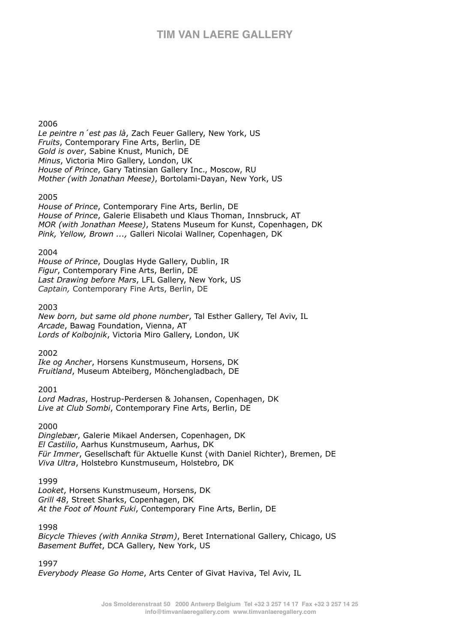#### 2006

*Le peintre n´est pas là*, Zach Feuer Gallery, New York, US *Fruits*, Contemporary Fine Arts, Berlin, DE *Gold is over*, Sabine Knust, Munich, DE *Minus*, Victoria Miro Gallery, London, UK *House of Prince*, Gary Tatinsian Gallery Inc., Moscow, RU *Mother (with Jonathan Meese)*, Bortolami-Dayan, New York, US

#### 2005

*House of Prince*, Contemporary Fine Arts, Berlin, DE *House of Prince*, Galerie Elisabeth und Klaus Thoman, Innsbruck, AT *MOR (with Jonathan Meese)*, Statens Museum for Kunst, Copenhagen, DK *Pink, Yellow, Brown ...,* Galleri Nicolai Wallner, Copenhagen, DK

#### 2004

*House of Prince*, Douglas Hyde Gallery, Dublin, IR *Figur*, Contemporary Fine Arts, Berlin, DE *Last Drawing before Mars*, LFL Gallery, New York, US *Captain,* Contemporary Fine Arts, Berlin, DE

#### 2003

*New born, but same old phone number*, Tal Esther Gallery, Tel Aviv, IL *Arcade*, Bawag Foundation, Vienna, AT *Lords of Kolbojnik*, Victoria Miro Gallery, London, UK

#### 2002

*Ike og Ancher*, Horsens Kunstmuseum, Horsens, DK *Fruitland*, Museum Abteiberg, Mönchengladbach, DE

#### 2001

*Lord Madras*, Hostrup-Perdersen & Johansen, Copenhagen, DK *Live at Club Sombi*, Contemporary Fine Arts, Berlin, DE

#### 2000

*Dinglebær*, Galerie Mikael Andersen, Copenhagen, DK *El Castilio*, Aarhus Kunstmuseum, Aarhus, DK *Für Immer*, Gesellschaft für Aktuelle Kunst (with Daniel Richter), Bremen, DE *Viva Ultra*, Holstebro Kunstmuseum, Holstebro, DK

#### 1999

*Looket*, Horsens Kunstmuseum, Horsens, DK *Grill 48*, Street Sharks, Copenhagen, DK *At the Foot of Mount Fuki*, Contemporary Fine Arts, Berlin, DE

1998

*Bicycle Thieves (with Annika Strøm)*, Beret International Gallery, Chicago, US *Basement Buffet*, DCA Gallery, New York, US

1997

*Everybody Please Go Home*, Arts Center of Givat Haviva, Tel Aviv, IL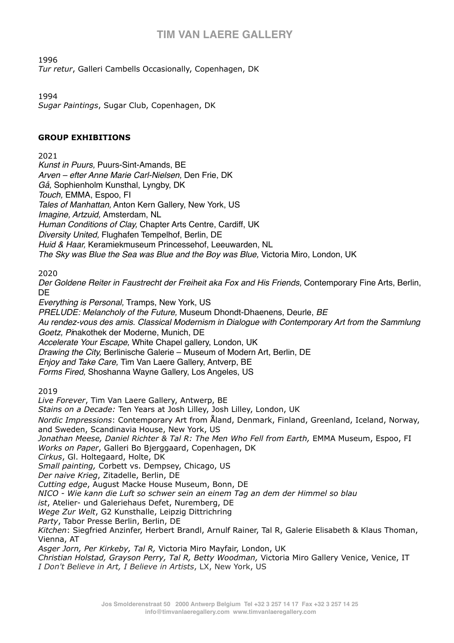1996

*Tur retur*, Galleri Cambells Occasionally, Copenhagen, DK

1994

*Sugar Paintings*, Sugar Club, Copenhagen, DK

### **GROUP EXHIBITIONS**

2021

*Kunst in Puurs,* Puurs-Sint-Amands, BE *Arven – efter Anne Marie Carl-Nielsen,* Den Frie, DK *Gå,* Sophienholm Kunsthal, Lyngby, DK *Touch,* EMMA, Espoo, FI *Tales of Manhattan,* Anton Kern Gallery, New York, US *Imagine, Artzuid,* Amsterdam, NL *Human Conditions of Clay,* Chapter Arts Centre, Cardiff, UK *Diversity United,* Flughafen Tempelhof, Berlin, DE *Huid & Haar,* Keramiekmuseum Princessehof, Leeuwarden, NL *The Sky was Blue the Sea was Blue and the Boy was Blue,* Victoria Miro, London, UK

2020

*Der Goldene Reiter in Faustrecht der Freiheit aka Fox and His Friends,* Contemporary Fine Arts, Berlin, DE

*Everything is Personal,* Tramps, New York, US

*PRELUDE: Melancholy of the Future,* Museum Dhondt-Dhaenens, Deurle, *BE Au rendez-vous des amis. Classical Modernism in Dialogue with Contemporary Art from the Sammlung Goetz, Pi*nakothek der Moderne, Munich, DE *Accelerate Your Escape,* White Chapel gallery, London, UK *Drawing the City,* Berlinische Galerie – Museum of Modern Art, Berlin, DE *Enjoy and Take Care,* Tim Van Laere Gallery, Antverp, BE *Forms Fired,* Shoshanna Wayne Gallery, Los Angeles, US

2019

*Live Forever*, Tim Van Laere Gallery, Antwerp, BE *Stains on a Decade:* Ten Years at Josh Lilley, Josh Lilley, London, UK *Nordic Impressions*: Contemporary Art from Åland, Denmark, Finland, Greenland, Iceland, Norway, and Sweden, Scandinavia House, New York, US *Jonathan Meese, Daniel Richter & Tal R: The Men Who Fell from Earth,* EMMA Museum, Espoo, FI *Works on Paper*, Galleri Bo Bjerggaard, Copenhagen, DK *Cirkus*, Gl. Holtegaard, Holte, DK *Small painting,* Corbett vs. Dempsey, Chicago, US *Der naive Krieg*, Zitadelle, Berlin, DE *Cutting edge*, August Macke House Museum, Bonn, DE *NICO - Wie kann die Luft so schwer sein an einem Tag an dem der Himmel so blau ist*, Atelier- und Galeriehaus Defet, Nuremberg, DE *Wege Zur Welt*, G2 Kunsthalle, Leipzig Dittrichring *Party*, Tabor Presse Berlin, Berlin, DE *Kitchen*: Siegfried Anzinfer, Herbert Brandl, Arnulf Rainer, Tal R, Galerie Elisabeth & Klaus Thoman, Vienna, AT *Asger Jorn, Per Kirkeby, Tal R,* Victoria Miro Mayfair, London, UK *Christian Holstad, Grayson Perry, Tal R, Betty Woodman,* Victoria Miro Gallery Venice, Venice, IT

*I Don't Believe in Art, I Believe in Artists*, LX, New York, US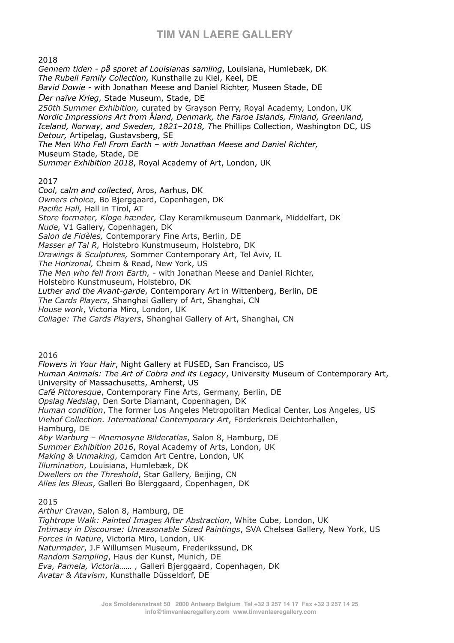2018

*Gennem tiden - på sporet af Louisianas samling*, Louisiana, Humlebæk, DK *The Rubell Family Collection,* Kunsthalle zu Kiel, Keel, DE *Bavid Dowie -* with Jonathan Meese and Daniel Richter, Museen Stade, DE *Der naïve Krieg*, Stade Museum, Stade, DE *250th Summer Exhibition,* curated by Grayson Perry, Royal Academy, London, UK *Nordic Impressions Art from* Å*land, Denmark, the Faroe Islands, Finland, Greenland, Iceland, Norway, and Sweden, 1821–2018, T*he Phillips Collection, Washington DC, US *Detour,* Artipelag, Gustavsberg, SE *The Men Who Fell From Earth – with Jonathan Meese and Daniel Richter,*  Museum Stade, Stade, DE *Summer Exhibition 2018*, Royal Academy of Art, London, UK 2017 *Cool, calm and collected*, Aros, Aarhus, DK *Owners choice,* Bo Bjerggaard, Copenhagen, DK *Pacific Hall,* Hall in Tirol, AT *Store formater, Kloge hænder,* Clay Keramikmuseum Danmark, Middelfart, DK *Nude,* V1 Gallery, Copenhagen, DK *Salon de Fidèles,* Contemporary Fine Arts, Berlin, DE *Masser af Tal R,* Holstebro Kunstmuseum, Holstebro, DK *Drawings & Sculptures,* Sommer Contemporary Art, Tel Aviv, IL *The Horizonal,* Cheim & Read, New York, US *The Men who fell from Earth,* - with Jonathan Meese and Daniel Richter, Holstebro Kunstmuseum, Holstebro, DK *Luther and the Avant-garde*, Contemporary Art in Wittenberg, Berlin, DE *The Cards Players*, Shanghai Gallery of Art, Shanghai, CN *House work*, Victoria Miro, London, UK

*Collage: The Cards Players*, Shanghai Gallery of Art, Shanghai, CN

2016

*Flowers in Your Hair*, Night Gallery at FUSED, San Francisco, US *Human Animals: The Art of Cobra and its Legacy*, University Museum of Contemporary Art, University of Massachusetts, Amherst, US *Café Pittoresque*, Contemporary Fine Arts, Germany, Berlin, DE *Opslag Nedslag*, Den Sorte Diamant, Copenhagen, DK *Human condition*, The former Los Angeles Metropolitan Medical Center, Los Angeles, US *Viehof Collection. International Contemporary Art*, Förderkreis Deichtorhallen, Hamburg, DE *Aby Warburg – Mnemosyne Bilderatlas*, Salon 8, Hamburg, DE *Summer Exhibition 2016*, Royal Academy of Arts, London, UK *Making & Unmaking*, Camdon Art Centre, London, UK *Illumination*, Louisiana, Humlebæk, DK *Dwellers on the Threshold*, Star Gallery, Beijing, CN *Alles les Bleus*, Galleri Bo Blerggaard, Copenhagen, DK

#### 2015

*Arthur Cravan*, Salon 8, Hamburg, DE *Tightrope Walk: Painted Images After Abstraction*, White Cube, London, UK *Intimacy in Discourse: Unreasonable Sized Paintings*, SVA Chelsea Gallery, New York, US *Forces in Nature*, Victoria Miro, London, UK *Naturmøder*, J.F Willumsen Museum, Frederikssund, DK *Random Sampling*, Haus der Kunst, Munich, DE *Eva, Pamela, Victoria…… ,* Galleri Bjerggaard, Copenhagen, DK *Avatar & Atavism*, Kunsthalle Düsseldorf, DE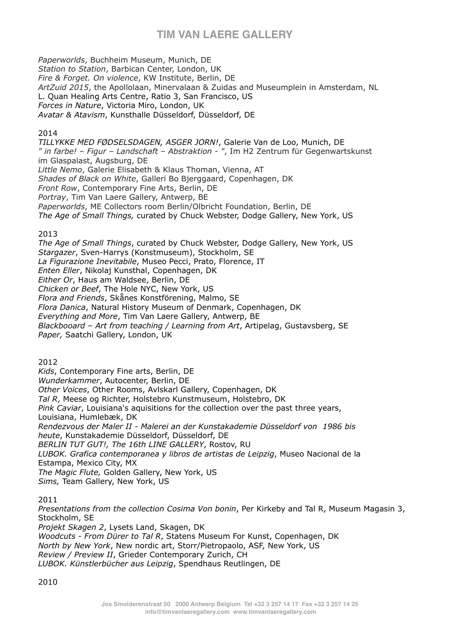*Paperworlds*, Buchheim Museum, Munich, DE *Station to Station*, Barbican Center, London, UK *Fire & Forget. On violence*, KW Institute, Berlin, DE *ArtZuid 2015*, the Apollolaan, Minervalaan & Zuidas and Museumplein in Amsterdam, NL L. Quan Healing Arts Centre, Ratio 3, San Francisco, US *Forces in Nature*, Victoria Miro, London, UK *Avatar & Atavism*, Kunsthalle Düsseldorf, Düsseldorf, DE

#### 2014

*TILLYKKE MED FØDSELSDAGEN, ASGER JORN!*, Galerie Van de Loo, Munich, DE *" in farbe! – Figur – Landschaft – Abstraktion - "*, Im H2 Zentrum für Gegenwartskunst im Glaspalast, Augsburg, DE *Little Nemo*, Galerie Elisabeth & Klaus Thoman, Vienna, AT *Shades of Black on White*, Galleri Bo Bjerggaard, Copenhagen, DK *Front Row*, Contemporary Fine Arts, Berlin, DE *Portray*, Tim Van Laere Gallery, Antwerp, BE *Paperworlds*, ME Collectors room Berlin/Olbricht Foundation, Berlin, DE *The Age of Small Things,* curated by Chuck Webster, Dodge Gallery, New York, US

#### 2013

*The Age of Small Things*, curated by Chuck Webster, Dodge Gallery, New York, US *Stargazer*, Sven-Harrys (Konstmuseum), Stockholm, SE *La Figurazione Inevitabile*, Museo Pecci, Prato, Florence, IT *Enten Eller*, Nikolaj Kunsthal, Copenhagen, DK *Either Or*, Haus am Waldsee, Berlin, DE *Chicken or Beef*, The Hole NYC, New York, US *Flora and Friends*, Skånes Konstförening, Malmo, SE *Flora Danica*, Natural History Museum of Denmark, Copenhagen, DK *Everything and More*, Tim Van Laere Gallery, Antwerp, BE *Blackbooard – Art from teaching / Learning from Art*, Artipelag, Gustavsberg, SE *Paper,* Saatchi Gallery, London, UK

2012

*Kids*, Contemporary Fine arts, Berlin, DE *Wunderkammer*, Autocenter, Berlin, DE *Other Voices*, Other Rooms, Avlskarl Gallery, Copenhagen, DK *Tal R*, Meese og Richter, Holstebro Kunstmuseum, Holstebro, DK *Pink Caviar*, Louisiana's aquisitions for the collection over the past three years, Louisiana, Humlebæk, DK *Rendezvous der Maler II - Malerei an der Kunstakademie Düsseldorf von 1986 bis heute*, Kunstakademie Düsseldorf, Düsseldorf, DE *BERLIN TUT GUT!, The 16th LINE GALLERY*, Rostov, RU *LUBOK. Grafica contemporanea y libros de artistas de Leipzig*, Museo Nacional de la Estampa, Mexico City, MX *The Magic Flute,* Golden Gallery, New York, US *Sims,* Team Gallery, New York, US

#### 2011

*Presentations from the collection Cosima Von bonin*, Per Kirkeby and Tal R, Museum Magasin 3, Stockholm, SE *Projekt Skagen 2*, Lysets Land, Skagen, DK *Woodcuts* - *From Dürer to Tal R*, Statens Museum For Kunst, Copenhagen, DK *North by New York*, New nordic art, Storr/Pietropaolo, ASF, New York, US *Review / Preview II*, Grieder Contemporary Zurich, CH *LUBOK. Künstlerbücher aus Leipzig*, Spendhaus Reutlingen, DE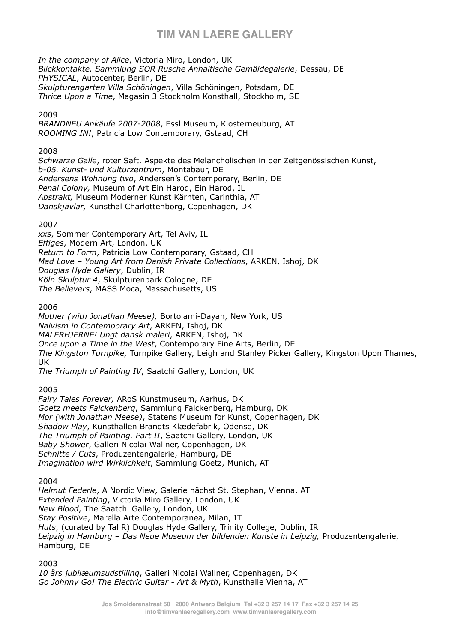*In the company of Alice*, Victoria Miro, London, UK *Blickkontakte. Sammlung SOR Rusche Anhaltische Gemäldegalerie*, Dessau, DE *PHYSICAL*, Autocenter, Berlin, DE *Skulpturengarten Villa Schöningen*, Villa Schöningen, Potsdam, DE *Thrice Upon a Time*, Magasin 3 Stockholm Konsthall, Stockholm, SE

#### 2009

*BRANDNEU Ankäufe 2007-2008*, Essl Museum, Klosterneuburg, AT *ROOMING IN!*, Patricia Low Contemporary, Gstaad, CH

#### 2008

*Schwarze Galle*, roter Saft. Aspekte des Melancholischen in der Zeitgenössischen Kunst, *b-05. Kunst- und Kulturzentrum*, Montabaur, DE *Andersens Wohnung two*, Andersen's Contemporary, Berlin, DE *Penal Colony,* Museum of Art Ein Harod, Ein Harod, IL *Abstrakt,* Museum Moderner Kunst Kärnten, Carinthia, AT *Danskjävlar,* Kunsthal Charlottenborg, Copenhagen, DK

#### 2007

*xxs*, Sommer Contemporary Art, Tel Aviv, IL *Effiges*, Modern Art, London, UK *Return to Form*, Patricia Low Contemporary, Gstaad, CH *Mad Love – Young Art from Danish Private Collections*, ARKEN, Ishoj, DK *Douglas Hyde Gallery*, Dublin, IR *Köln Skulptur 4*, Skulpturenpark Cologne, DE *The Believers*, MASS Moca, Massachusetts, US

#### 2006

*Mother (with Jonathan Meese),* Bortolami-Dayan, New York, US *Naivism in Contemporary Art*, ARKEN, Ishoj, DK *MALERHJERNE! Ungt dansk maleri*, ARKEN, Ishoj, DK *Once upon a Time in the West*, Contemporary Fine Arts, Berlin, DE *The Kingston Turnpike,* Turnpike Gallery, Leigh and Stanley Picker Gallery, Kingston Upon Thames, UK *The Triumph of Painting IV*, Saatchi Gallery, London, UK

#### 2005

*Fairy Tales Forever,* ARoS Kunstmuseum, Aarhus, DK *Goetz meets Falckenberg*, Sammlung Falckenberg, Hamburg, DK *Mor (with Jonathan Meese)*, Statens Museum for Kunst, Copenhagen, DK *Shadow Play*, Kunsthallen Brandts Klædefabrik, Odense, DK *The Triumph of Painting. Part II*, Saatchi Gallery, London, UK *Baby Shower*, Galleri Nicolai Wallner, Copenhagen, DK *Schnitte / Cuts*, Produzentengalerie, Hamburg, DE *Imagination wird Wirklichkeit*, Sammlung Goetz, Munich, AT

2004

*Helmut Federle*, A Nordic View, Galerie nächst St. Stephan, Vienna, AT *Extended Painting*, Victoria Miro Gallery, London, UK *New Blood*, The Saatchi Gallery, London, UK *Stay Positive*, Marella Arte Contemporanea, Milan, IT *Huts*, (curated by Tal R) Douglas Hyde Gallery, Trinity College, Dublin, IR *Leipzig in Hamburg – Das Neue Museum der bildenden Kunste in Leipzig,* Produzentengalerie, Hamburg, DE

2003

*10 års jubilæumsudstilling*, Galleri Nicolai Wallner, Copenhagen, DK *Go Johnny Go! The Electric Guitar - Art & Myth*, Kunsthalle Vienna, AT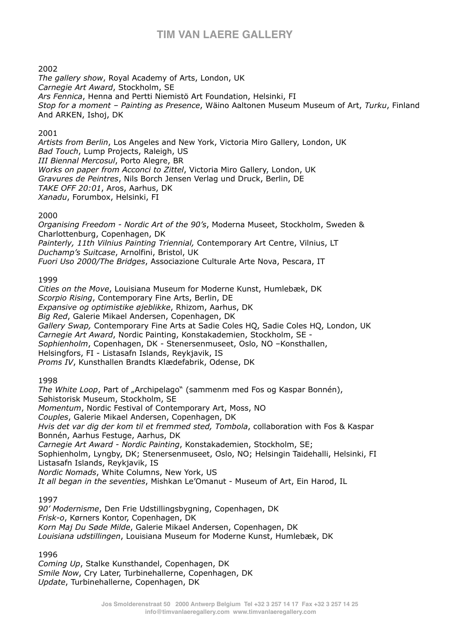#### 2002

*The gallery show*, Royal Academy of Arts, London, UK *Carnegie Art Award*, Stockholm, SE *Ars Fennica*, Henna and Pertti Niemistö Art Foundation, Helsinki, FI *Stop for a moment – Painting as Presence*, Wäino Aaltonen Museum Museum of Art, *Turku*, Finland And ARKEN, Ishoj, DK

#### 2001

*Artists from Berlin*, Los Angeles and New York, Victoria Miro Gallery, London, UK *Bad Touch*, Lump Projects, Raleigh, US *III Biennal Mercosul*, Porto Alegre, BR *Works on paper from Acconci to Zittel*, Victoria Miro Gallery, London, UK *Gravures de Peintres*, Nils Borch Jensen Verlag und Druck, Berlin, DE *TAKE OFF 20:01*, Aros, Aarhus, DK *Xanadu*, Forumbox, Helsinki, FI

#### 2000

*Organising Freedom - Nordic Art of the 90's*, Moderna Museet, Stockholm, Sweden & Charlottenburg, Copenhagen, DK *Painterly, 11th Vilnius Painting Triennial,* Contemporary Art Centre, Vilnius, LT *Duchamp's Suitcase*, Arnolfini, Bristol, UK *Fuori Uso 2000/The Bridges*, Associazione Culturale Arte Nova, Pescara, IT

#### 1999

*Cities on the Move*, Louisiana Museum for Moderne Kunst, Humlebæk, DK *Scorpio Rising*, Contemporary Fine Arts, Berlin, DE *Expansive og optimistike øjeblikke*, Rhizom, Aarhus, DK *Big Red*, Galerie Mikael Andersen, Copenhagen, DK *Gallery Swap,* Contemporary Fine Arts at Sadie Coles HQ, Sadie Coles HQ, London, UK *Carnegie Art Award*, Nordic Painting, Konstakademien, Stockholm, SE - *Sophienholm*, Copenhagen, DK - Stenersenmuseet, Oslo, NO –Konsthallen, Helsingfors, FI - Listasafn Islands, Reykjavik, IS *Proms IV*, Kunsthallen Brandts Klædefabrik, Odense, DK

#### 1998

*The White Loop*, Part of "Archipelago" (sammenm med Fos og Kaspar Bonnén), Søhistorisk Museum, Stockholm, SE *Momentum*, Nordic Festival of Contemporary Art, Moss, NO *Couples*, Galerie Mikael Andersen, Copenhagen, DK *Hvis det var dig der kom til et fremmed sted, Tombola*, collaboration with Fos & Kaspar Bonnén, Aarhus Festuge, Aarhus, DK *Carnegie Art Award - Nordic Painting*, Konstakademien, Stockholm, SE; Sophienholm, Lyngby, DK; Stenersenmuseet, Oslo, NO; Helsingin Taidehalli, Helsinki, FI Listasafn Islands, Reykjavik, IS *Nordic Nomads*, White Columns, New York, US *It all began in the seventies*, Mishkan Le'Omanut - Museum of Art, Ein Harod, IL

#### 1997

*90' Modernisme*, Den Frie Udstillingsbygning, Copenhagen, DK *Frisk-o*, Kørners Kontor, Copenhagen, DK *Korn Maj Du Søde Milde*, Galerie Mikael Andersen, Copenhagen, DK *Louisiana udstillingen*, Louisiana Museum for Moderne Kunst, Humlebæk, DK

1996

*Coming Up*, Stalke Kunsthandel, Copenhagen, DK *Smile Now*, Cry Later, Turbinehallerne, Copenhagen, DK *Update*, Turbinehallerne, Copenhagen, DK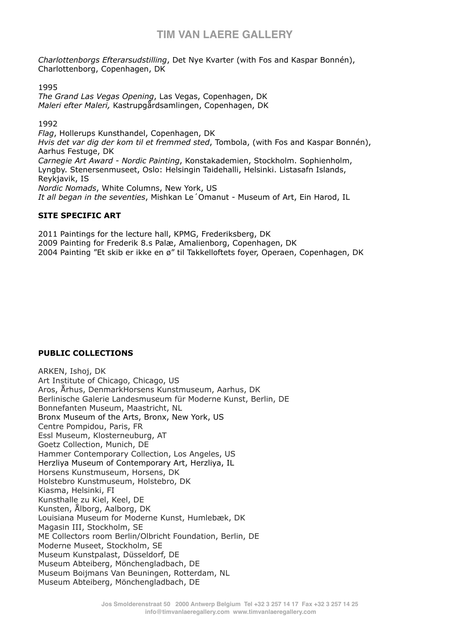*Charlottenborgs Efterarsudstilling*, Det Nye Kvarter (with Fos and Kaspar Bonnén), Charlottenborg, Copenhagen, DK

1995

*The Grand Las Vegas Opening*, Las Vegas, Copenhagen, DK *Maleri efter Maleri,* Kastrupgårdsamlingen, Copenhagen, DK

1992

*Flag*, Hollerups Kunsthandel, Copenhagen, DK *Hvis det var dig der kom til et fremmed sted*, Tombola, (with Fos and Kaspar Bonnén), Aarhus Festuge, DK *Carnegie Art Award - Nordic Painting*, Konstakademien, Stockholm. Sophienholm, Lyngby. Stenersenmuseet, Oslo: Helsingin Taidehalli, Helsinki. Listasafn Islands, Reykjavik, IS *Nordic Nomads*, White Columns, New York, US *It all began in the seventies*, Mishkan Le´Omanut - Museum of Art, Ein Harod, IL

#### **SITE SPECIFIC ART**

2011 Paintings for the lecture hall, KPMG, Frederiksberg, DK

2009 Painting for Frederik 8.s Palæ, Amalienborg, Copenhagen, DK

2004 Painting "Et skib er ikke en ø" til Takkelloftets foyer, Operaen, Copenhagen, DK

### **PUBLIC COLLECTIONS**

ARKEN, Ishoj, DK Art Institute of Chicago, Chicago, US Aros, Århus, DenmarkHorsens Kunstmuseum, Aarhus, DK Berlinische Galerie Landesmuseum für Moderne Kunst, Berlin, DE Bonnefanten Museum, Maastricht, NL Bronx Museum of the Arts, Bronx, New York, US Centre Pompidou, Paris, FR Essl Museum, Klosterneuburg, AT Goetz Collection, Munich, DE Hammer Contemporary Collection, Los Angeles, US Herzliya Museum of Contemporary Art, Herzliya, IL Horsens Kunstmuseum, Horsens, DK Holstebro Kunstmuseum, Holstebro, DK Kiasma, Helsinki, FI Kunsthalle zu Kiel, Keel, DE Kunsten, Ålborg, Aalborg, DK Louisiana Museum for Moderne Kunst, Humlebæk, DK Magasin III, Stockholm, SE ME Collectors room Berlin/Olbricht Foundation, Berlin, DE Moderne Museet, Stockholm, SE Museum Kunstpalast, Düsseldorf, DE Museum Abteiberg, Mönchengladbach, DE Museum Boijmans Van Beuningen, Rotterdam, NL Museum Abteiberg, Mönchengladbach, DE